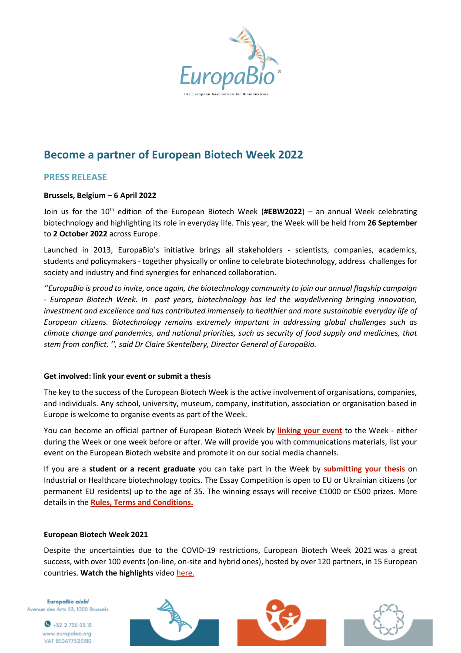

# **Become a partner of European Biotech Week 2022**

# **PRESS RELEASE**

## **Brussels, Belgium – 6 April 2022**

Join us for the 10<sup>th</sup> edition of the European Biotech Week (#EBW2022) – an annual Week celebrating biotechnology and highlighting its role in everyday life. This year, the Week will be held from **26 September** to **2 October 2022** across Europe.

Launched in 2013, EuropaBio's initiative brings all stakeholders - scientists, companies, academics, students and policymakers- together physically or online to celebrate biotechnology, address challenges for society and industry and find synergies for enhanced collaboration.

*''EuropaBio is proud to invite, once again, the biotechnology community to join our annual flagship campaign - European Biotech Week. In past years, biotechnology has led the waydelivering bringing innovation, investment and excellence and has contributed immensely to healthier and more sustainable everyday life of European citizens. Biotechnology remains extremely important in addressing global challenges such as climate change and pandemics, and national priorities, such as security of food supply and medicines, that stem from conflict. '', said Dr Claire Skentelbery, Director General of EuropaBio.*

#### **Get involved: link your event or submit a thesis**

The key to the success of the European Biotech Week is the active involvement of organisations, companies, and individuals. Any school, university, museum, company, institution, association or organisation based in Europe is welcome to organise events as part of the Week.

You can become an official partner of European Biotech Week by **[linking your event](https://biotechweek.org/get-involved/submit-your-event/)** to the Week - either during the Week or one week before or after. We will provide you with communications materials, list your event on the European Biotech website and promote it on our social media channels.

If you are a **student or a recent graduate** you can take part in the Week by **[submitting your thesis](https://biotechweek.org/get-involved/submit-your-essay/)** on Industrial or Healthcare biotechnology topics. The Essay Competition is open to EU or Ukrainian citizens (or permanent EU residents) up to the age of 35. The winning essays will receive €1000 or €500 prizes. More details in the **[Rules, Terms and Conditions.](https://biotechweek.org/get-involved/submit-your-essay/)**

#### **European Biotech Week 2021**

Despite the uncertainties due to the COVID-19 restrictions, European Biotech Week 2021 was a great success, with over 100 events (on-line, on-site and hybrid ones), hosted by over 120 partners, in 15 European countries. **Watch the highlights** vide[o here.](https://youtu.be/W7AQVDYZkv4)

EuropaBio aisbl Avenue des Arts 53, 1000 Brussels



 $\bullet$  +32 2 735 03 13 www.europabio.org VAT BE0477520310